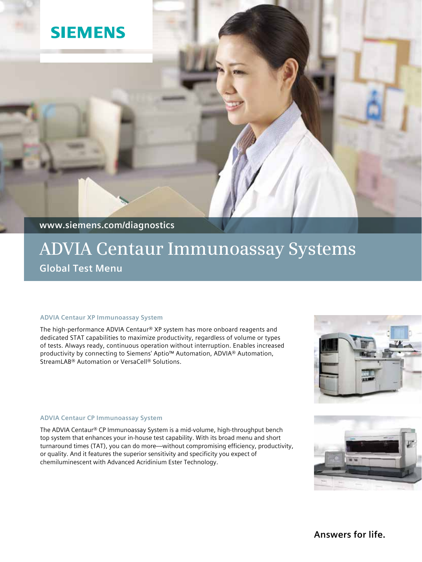# **SIEMENS**

**www.siemens.com/diagnostics**

# **ADVIA Centaur Immunoassay Systems Global Test Menu**

## **ADVIA Centaur XP Immunoassay System**

The high-performance ADVIA Centaur® XP system has more onboard reagents and dedicated STAT capabilities to maximize productivity, regardless of volume or types of tests. Always ready, continuous operation without interruption. Enables increased productivity by connecting to Siemens' Aptio™ Automation, ADVIA® Automation, StreamLAB® Automation or VersaCell® Solutions.

## **ADVIA Centaur CP Immunoassay System**

The ADVIA Centaur® CP Immunoassay System is a mid-volume, high-throughput bench top system that enhances your in-house test capability. With its broad menu and short turnaround times (TAT), you can do more—without compromising efficiency, productivity, or quality. And it features the superior sensitivity and specificity you expect of chemiluminescent with Advanced Acridinium Ester Technology.